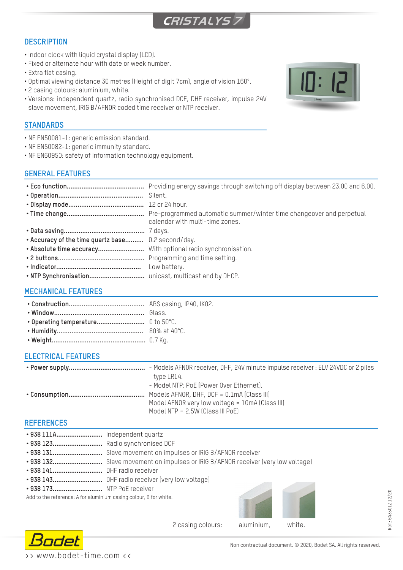

# **DESCRIPTION**

- Indoor clock with liquid crystal display (LCD).
- Fixed or alternate hour with date or week number.
- Extra flat casing.
- Optimal viewing distance 30 metres (Height of digit 7cm), angle of vision 160°.
- 2 casing colours: aluminium, white.
- Versions: independent quartz, radio synchronised DCF, DHF receiver, impulse 24V slave movement, IRIG B/AFNOR coded time receiver or NTP receiver.

## **STANDARDS**

- NF EN50081-1: generic emission standard.
- NF EN50082-1: generic immunity standard.
- NF EN60950: safety of information technology equipment.

# **GENERAL FEATURES**

| • Accuracy of the time quartz base 0.2 second/day. | calendar with multi-time zones.<br>Low battery. |
|----------------------------------------------------|-------------------------------------------------|
|                                                    |                                                 |

# **MECHANICAL FEATURES**

## **ELECTRICAL FEATURES**

| - Models AFNOR receiver, DHF, 24V minute impulse receiver : ELV 24VDC or 2 piles |
|----------------------------------------------------------------------------------|
| type LR14.                                                                       |
| - Model NTP: PoE (Power Over Ethernet).                                          |
|                                                                                  |
| Model AFNOR very low voltage = 10mA (Class III)                                  |
| Model NTP = $2.5W$ (Class III PoE)                                               |

# **REFERENCES**

| · 938 111A Independent quartz |  |
|-------------------------------|--|
|-------------------------------|--|

- **• 938 123...........................** Radio synchronised DCF
- **• 938 131...........................** Slave movement on impulses or IRIG B/AFNOR receiver
- **• 938 132...........................** Slave movement on impulses or IRIG B/AFNOR receiver (very low voltage)
- **• 938 141...........................** DHF radio receiver
- **• 938 143...........................** DHF radio receiver (very low voltage)
- **• 938 173...........................** NTP PoE receiver

Add to the reference: A for aluminium casing colour, B for white.



2 casing colours: aluminium, white.